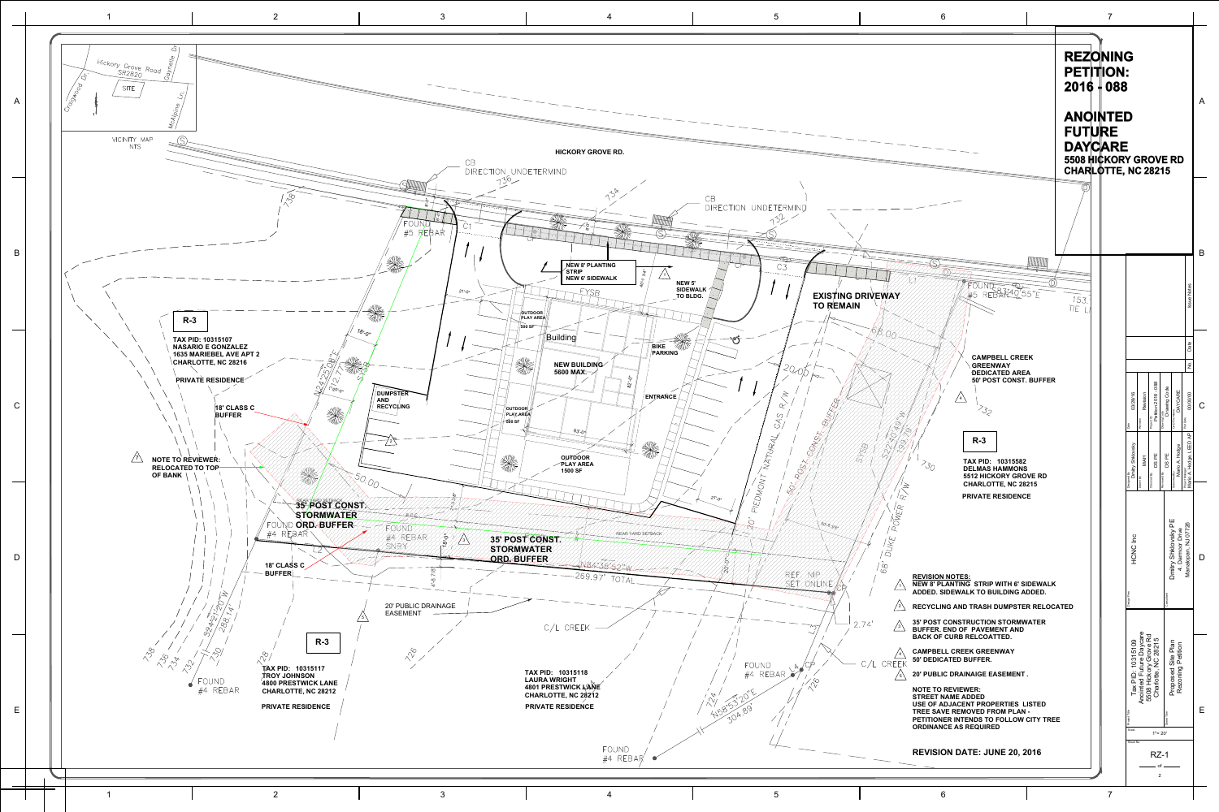